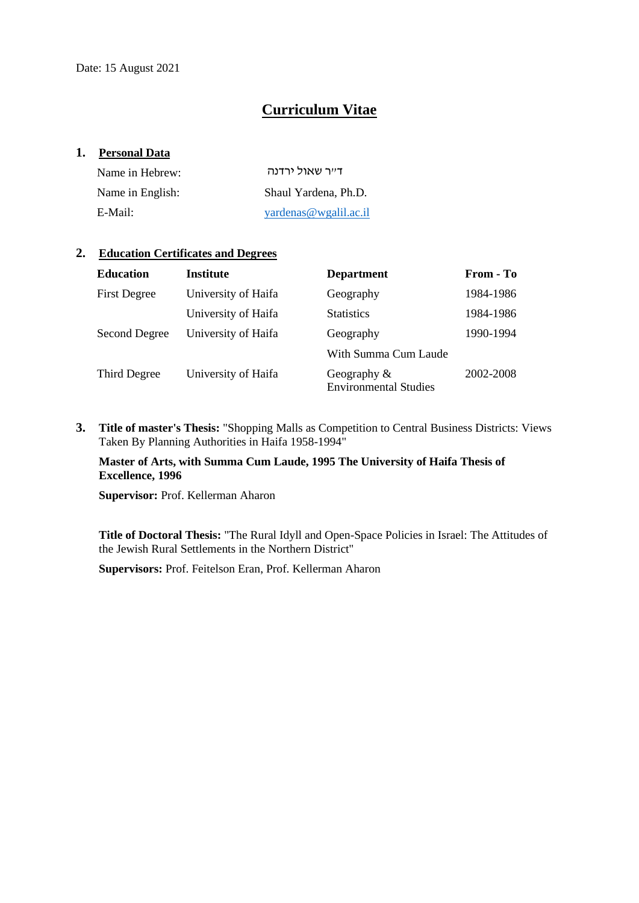# **Curriculum Vitae**

### **1. Personal Data**

| Name in Hebrew:  | דייר שאול ירדנה       |
|------------------|-----------------------|
| Name in English: | Shaul Yardena, Ph.D.  |
| E-Mail:          | yardenas@wgalil.ac.il |

## **2. Education Certificates and Degrees**

| <b>Education</b>    | Institute           | <b>Department</b>                              | From - To |
|---------------------|---------------------|------------------------------------------------|-----------|
| <b>First Degree</b> | University of Haifa | Geography                                      | 1984-1986 |
|                     | University of Haifa | <b>Statistics</b>                              | 1984-1986 |
| Second Degree       | University of Haifa | Geography                                      | 1990-1994 |
|                     |                     | With Summa Cum Laude                           |           |
| Third Degree        | University of Haifa | Geography $\&$<br><b>Environmental Studies</b> | 2002-2008 |

**3. Title of master's Thesis:** "Shopping Malls as Competition to Central Business Districts: Views Taken By Planning Authorities in Haifa 1958-1994"

### **Master of Arts, with Summa Cum Laude, 1995 The University of Haifa Thesis of Excellence, 1996**

**Supervisor: Prof. Kellerman Aharon** 

**Title of Doctoral Thesis:** "The Rural Idyll and Open-Space Policies in Israel: The Attitudes of the Jewish Rural Settlements in the Northern District"

**Supervisors:** Prof. Feitelson Eran, Prof. Kellerman Aharon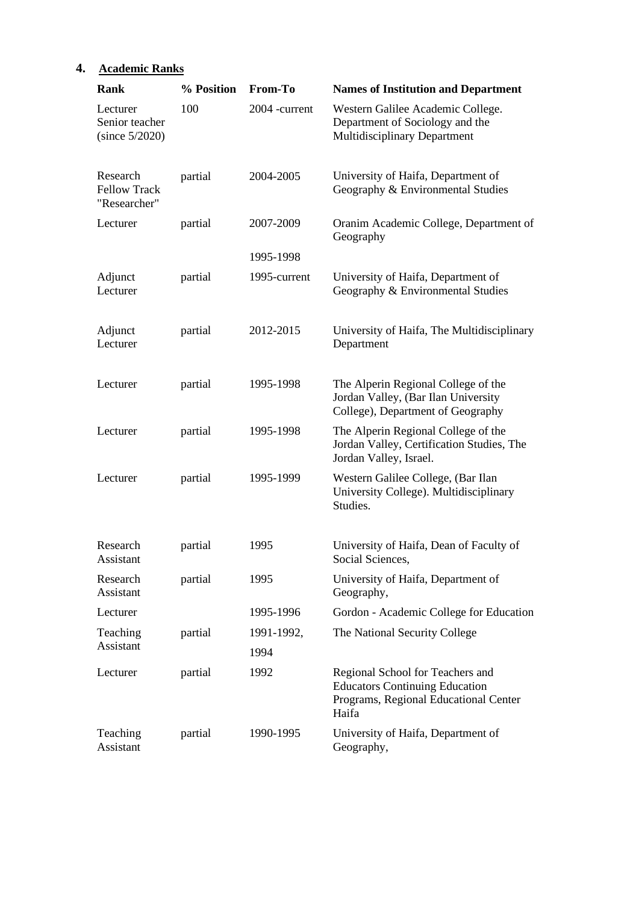| Rank                                            | % Position | From-To       | <b>Names of Institution and Department</b>                                                                                  |
|-------------------------------------------------|------------|---------------|-----------------------------------------------------------------------------------------------------------------------------|
| Lecturer<br>Senior teacher<br>(since 5/2020)    | 100        | 2004 -current | Western Galilee Academic College.<br>Department of Sociology and the<br><b>Multidisciplinary Department</b>                 |
| Research<br><b>Fellow Track</b><br>"Researcher" | partial    | 2004-2005     | University of Haifa, Department of<br>Geography & Environmental Studies                                                     |
| Lecturer                                        | partial    | 2007-2009     | Oranim Academic College, Department of<br>Geography                                                                         |
|                                                 |            | 1995-1998     |                                                                                                                             |
| Adjunct<br>Lecturer                             | partial    | 1995-current  | University of Haifa, Department of<br>Geography & Environmental Studies                                                     |
| Adjunct<br>Lecturer                             | partial    | 2012-2015     | University of Haifa, The Multidisciplinary<br>Department                                                                    |
| Lecturer                                        | partial    | 1995-1998     | The Alperin Regional College of the<br>Jordan Valley, (Bar Ilan University<br>College), Department of Geography             |
| Lecturer                                        | partial    | 1995-1998     | The Alperin Regional College of the<br>Jordan Valley, Certification Studies, The<br>Jordan Valley, Israel.                  |
| Lecturer                                        | partial    | 1995-1999     | Western Galilee College, (Bar Ilan<br>University College). Multidisciplinary<br>Studies.                                    |
| Research<br>Assistant                           | partial    | 1995          | University of Haifa, Dean of Faculty of<br>Social Sciences,                                                                 |
| Research<br>Assistant                           | partial    | 1995          | University of Haifa, Department of<br>Geography,                                                                            |
| Lecturer                                        |            | 1995-1996     | Gordon - Academic College for Education                                                                                     |
| Teaching                                        | partial    | 1991-1992,    | The National Security College                                                                                               |
| Assistant                                       |            | 1994          |                                                                                                                             |
| Lecturer                                        | partial    | 1992          | Regional School for Teachers and<br><b>Educators Continuing Education</b><br>Programs, Regional Educational Center<br>Haifa |
| Teaching<br>Assistant                           | partial    | 1990-1995     | University of Haifa, Department of<br>Geography,                                                                            |

# **4. Academic Ranks**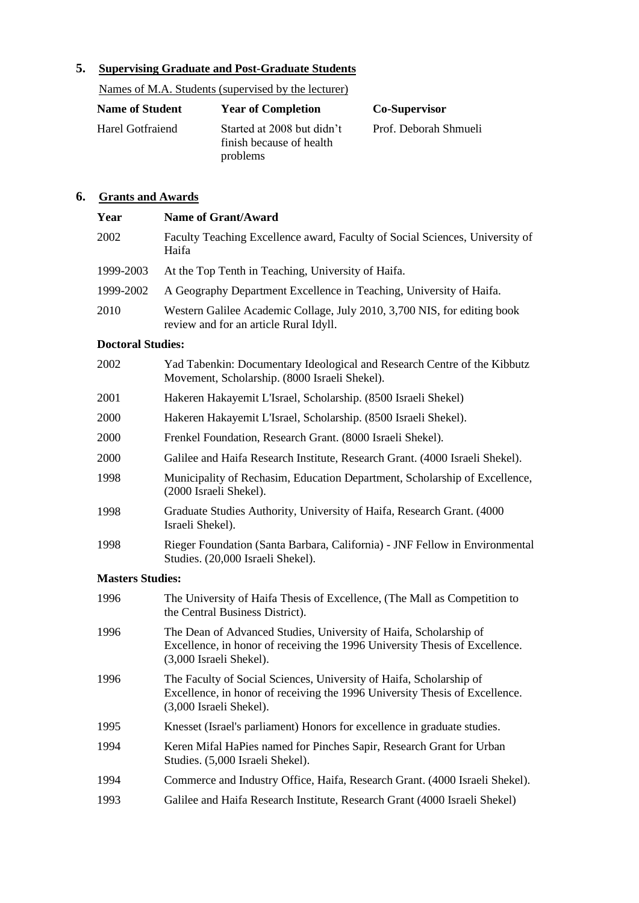# **5. Supervising Graduate and Post-Graduate Students**

Names of M.A. Students (supervised by the lecturer)

| <b>Name of Student</b> | <b>Year of Completion</b>                                          | <b>Co-Supervisor</b>  |
|------------------------|--------------------------------------------------------------------|-----------------------|
| Harel Gotfraiend       | Started at 2008 but didn't<br>finish because of health<br>problems | Prof. Deborah Shmueli |

# **6. Grants and Awards**

| Year                     | <b>Name of Grant/Award</b>                                                                                                                                                    |  |  |
|--------------------------|-------------------------------------------------------------------------------------------------------------------------------------------------------------------------------|--|--|
| 2002                     | Faculty Teaching Excellence award, Faculty of Social Sciences, University of<br>Haifa                                                                                         |  |  |
| 1999-2003                | At the Top Tenth in Teaching, University of Haifa.                                                                                                                            |  |  |
| 1999-2002                | A Geography Department Excellence in Teaching, University of Haifa.                                                                                                           |  |  |
| 2010                     | Western Galilee Academic Collage, July 2010, 3,700 NIS, for editing book<br>review and for an article Rural Idyll.                                                            |  |  |
| <b>Doctoral Studies:</b> |                                                                                                                                                                               |  |  |
| 2002                     | Yad Tabenkin: Documentary Ideological and Research Centre of the Kibbutz<br>Movement, Scholarship. (8000 Israeli Shekel).                                                     |  |  |
| 2001                     | Hakeren Hakayemit L'Israel, Scholarship. (8500 Israeli Shekel)                                                                                                                |  |  |
| 2000                     | Hakeren Hakayemit L'Israel, Scholarship. (8500 Israeli Shekel).                                                                                                               |  |  |
| 2000                     | Frenkel Foundation, Research Grant. (8000 Israeli Shekel).                                                                                                                    |  |  |
| 2000                     | Galilee and Haifa Research Institute, Research Grant. (4000 Israeli Shekel).                                                                                                  |  |  |
| 1998                     | Municipality of Rechasim, Education Department, Scholarship of Excellence,<br>(2000 Israeli Shekel).                                                                          |  |  |
| 1998                     | Graduate Studies Authority, University of Haifa, Research Grant. (4000)<br>Israeli Shekel).                                                                                   |  |  |
| 1998                     | Rieger Foundation (Santa Barbara, California) - JNF Fellow in Environmental<br>Studies. (20,000 Israeli Shekel).                                                              |  |  |
| <b>Masters Studies:</b>  |                                                                                                                                                                               |  |  |
| 1996                     | The University of Haifa Thesis of Excellence, (The Mall as Competition to<br>the Central Business District).                                                                  |  |  |
| 1996                     | The Dean of Advanced Studies, University of Haifa, Scholarship of<br>Excellence, in honor of receiving the 1996 University Thesis of Excellence.<br>(3,000 Israeli Shekel).   |  |  |
| 1996                     | The Faculty of Social Sciences, University of Haifa, Scholarship of<br>Excellence, in honor of receiving the 1996 University Thesis of Excellence.<br>(3,000 Israeli Shekel). |  |  |
| 1995                     | Knesset (Israel's parliament) Honors for excellence in graduate studies.                                                                                                      |  |  |
| 1994                     | Keren Mifal HaPies named for Pinches Sapir, Research Grant for Urban<br>Studies. (5,000 Israeli Shekel).                                                                      |  |  |
| 1994                     | Commerce and Industry Office, Haifa, Research Grant. (4000 Israeli Shekel).                                                                                                   |  |  |

1993 Galilee and Haifa Research Institute, Research Grant (4000 Israeli Shekel)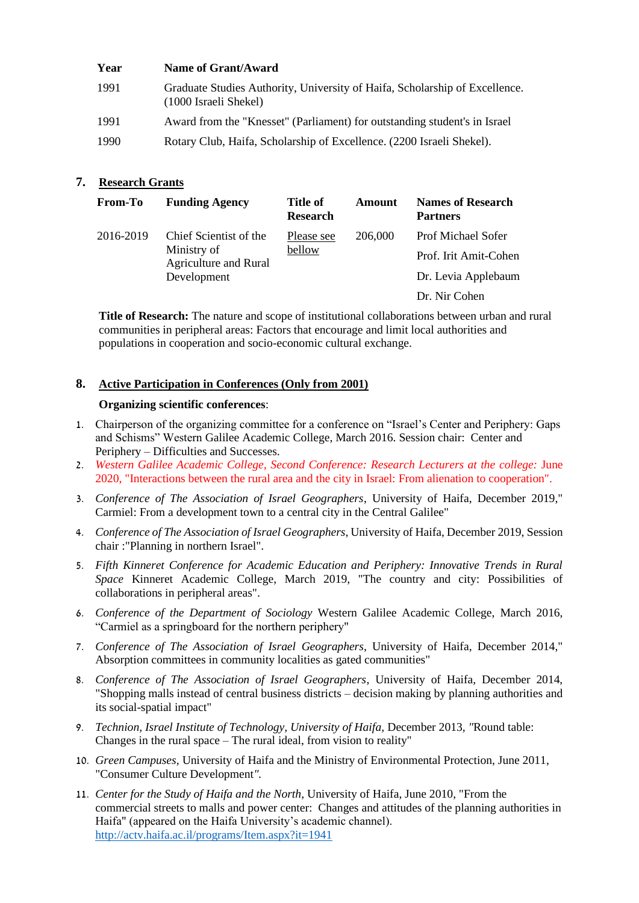| Year | Name of Grant/Award                                                                                  |
|------|------------------------------------------------------------------------------------------------------|
| 1991 | Graduate Studies Authority, University of Haifa, Scholarship of Excellence.<br>(1000 Israeli Shekel) |
| 1991 | Award from the "Knesset" (Parliament) for outstanding student's in Israel                            |
| 1990 | Rotary Club, Haifa, Scholarship of Excellence. (2200 Israeli Shekel).                                |

# **7. Research Grants**

| <b>From-To</b> | <b>Funding Agency</b>                                                                | <b>Title of</b><br><b>Research</b> | Amount  | <b>Names of Research</b><br><b>Partners</b> |
|----------------|--------------------------------------------------------------------------------------|------------------------------------|---------|---------------------------------------------|
| 2016-2019      | Chief Scientist of the<br>Ministry of<br><b>Agriculture and Rural</b><br>Development | Please see<br>bellow               | 206,000 | <b>Prof Michael Sofer</b>                   |
|                |                                                                                      |                                    |         | Prof. Irit Amit-Cohen                       |
|                |                                                                                      |                                    |         | Dr. Levia Applebaum                         |
|                |                                                                                      |                                    |         | Dr. Nir Cohen                               |

**Title of Research:** The nature and scope of institutional collaborations between urban and rural communities in peripheral areas: Factors that encourage and limit local authorities and populations in cooperation and socio-economic cultural exchange.

# **8. Active Participation in Conferences (Only from 2001)**

### **Organizing scientific conferences**:

- 1. Chairperson of the organizing committee for a conference on "Israel's Center and Periphery: Gaps and Schisms" Western Galilee Academic College, March 2016. Session chair: Center and Periphery – Difficulties and Successes.
- 2. *Western Galilee Academic College, Second Conference: Research Lecturers at the college:* June 2020, "Interactions between the rural area and the city in Israel: From alienation to cooperation".
- 3. *Conference of The Association of Israel Geographers*, University of Haifa, December 2019," Carmiel: From a development town to a central city in the Central Galilee"
- 4. *Conference of The Association of Israel Geographers*, University of Haifa, December 2019, Session chair :"Planning in northern Israel".
- 5. *Fifth Kinneret Conference for Academic Education and Periphery: Innovative Trends in Rural Space* Kinneret Academic College, March 2019, "The country and city: Possibilities of collaborations in peripheral areas".
- 6. *Conference of the Department of Sociology* Western Galilee Academic College, March 2016, "Carmiel as a springboard for the northern periphery"
- 7. *Conference of The Association of Israel Geographers*, University of Haifa, December 2014," Absorption committees in community localities as gated communities"
- 8. *Conference of The Association of Israel Geographers*, University of Haifa, December 2014, "Shopping malls instead of central business districts – decision making by planning authorities and its social-spatial impact"
- 9. *Technion, Israel Institute of Technology, University of Haifa,* December 2013*, "*Round table: Changes in the rural space – The rural ideal, from vision to reality"
- 10. *Green Campuses,* University of Haifa and the Ministry of Environmental Protection, June 2011, "Consumer Culture Development*".*
- 11. *Center for the Study of Haifa and the North*, University of Haifa, June 2010, "From the commercial streets to malls and power center: Changes and attitudes of the planning authorities in Haifa" (appeared on the Haifa University's academic channel). <http://actv.haifa.ac.il/programs/Item.aspx?it=1941>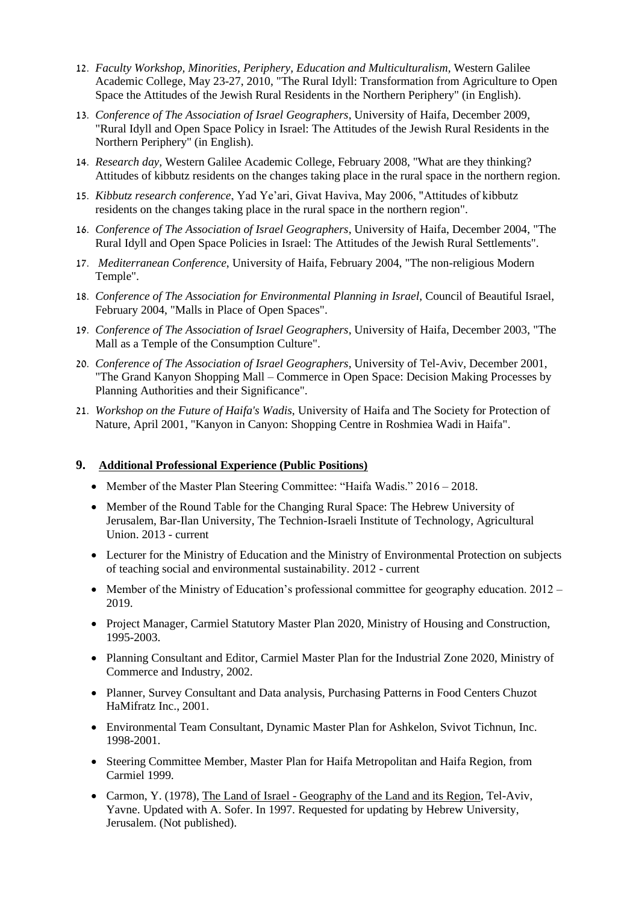- 12. *Faculty Workshop, Minorities, Periphery, Education and Multiculturalism,* Western Galilee Academic College, May 23-27, 2010, "The Rural Idyll: Transformation from Agriculture to Open Space the Attitudes of the Jewish Rural Residents in the Northern Periphery" (in English).
- 13. *Conference of The Association of Israel Geographers*, University of Haifa, December 2009, "Rural Idyll and Open Space Policy in Israel: The Attitudes of the Jewish Rural Residents in the Northern Periphery" (in English).
- 14. *Research day,* Western Galilee Academic College, February 2008, "What are they thinking? Attitudes of kibbutz residents on the changes taking place in the rural space in the northern region.
- 15. *Kibbutz research conference*, Yad Ye'ari, Givat Haviva, May 2006, "Attitudes of kibbutz residents on the changes taking place in the rural space in the northern region".
- 16. *Conference of The Association of Israel Geographers*, University of Haifa, December 2004, "The Rural Idyll and Open Space Policies in Israel: The Attitudes of the Jewish Rural Settlements".
- 17. *Mediterranean Conference*, University of Haifa, February 2004, "The non-religious Modern Temple".
- 18. *Conference of The Association for Environmental Planning in Israel*, Council of Beautiful Israel, February 2004, "Malls in Place of Open Spaces".
- 19. *Conference of The Association of Israel Geographers*, University of Haifa, December 2003, "The Mall as a Temple of the Consumption Culture".
- 20. *Conference of The Association of Israel Geographers*, University of Tel-Aviv, December 2001, "The Grand Kanyon Shopping Mall – Commerce in Open Space: Decision Making Processes by Planning Authorities and their Significance".
- 21. *Workshop on the Future of Haifa's Wadis*, University of Haifa and The Society for Protection of Nature, April 2001, "Kanyon in Canyon: Shopping Centre in Roshmiea Wadi in Haifa".

#### **9. Additional Professional Experience (Public Positions)**

- Member of the Master Plan Steering Committee: "Haifa Wadis." 2016 2018.
- Member of the Round Table for the Changing Rural Space: The Hebrew University of Jerusalem, Bar-Ilan University, The Technion-Israeli Institute of Technology, Agricultural Union. 2013 - current
- Lecturer for the Ministry of Education and the Ministry of Environmental Protection on subjects of teaching social and environmental sustainability. 2012 - current
- Member of the Ministry of Education's professional committee for geography education. 2012 2019.
- Project Manager, Carmiel Statutory Master Plan 2020, Ministry of Housing and Construction, 1995-2003.
- Planning Consultant and Editor, Carmiel Master Plan for the Industrial Zone 2020, Ministry of Commerce and Industry, 2002.
- Planner, Survey Consultant and Data analysis, Purchasing Patterns in Food Centers Chuzot HaMifratz Inc., 2001.
- Environmental Team Consultant, Dynamic Master Plan for Ashkelon, Svivot Tichnun, Inc. 1998-2001.
- Steering Committee Member, Master Plan for Haifa Metropolitan and Haifa Region, from Carmiel 1999.
- Carmon, Y. (1978), The Land of Israel Geography of the Land and its Region, Tel-Aviv, Yavne. Updated with A. Sofer. In 1997. Requested for updating by Hebrew University, Jerusalem. (Not published).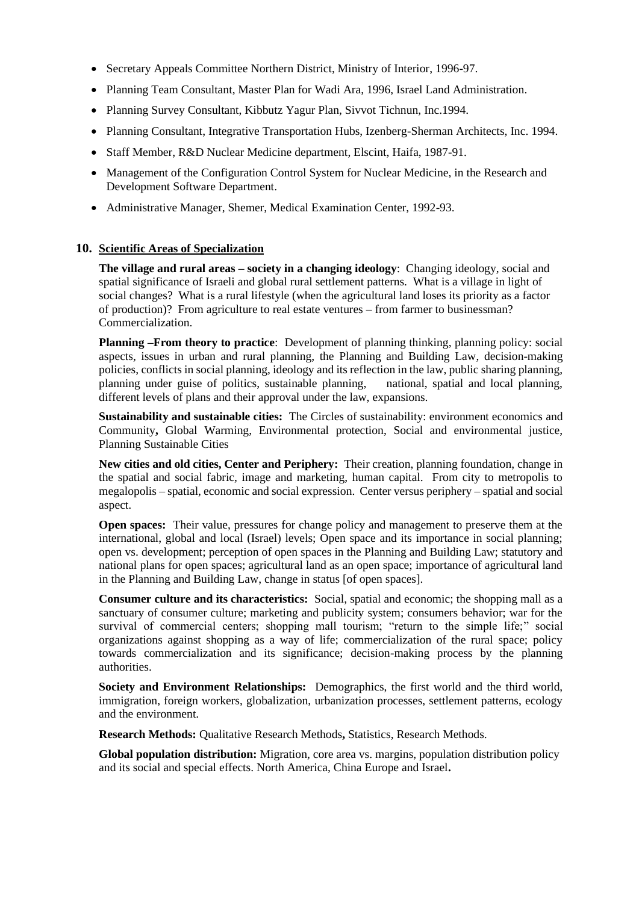- Secretary Appeals Committee Northern District, Ministry of Interior, 1996-97.
- Planning Team Consultant, Master Plan for Wadi Ara, 1996, Israel Land Administration.
- Planning Survey Consultant, Kibbutz Yagur Plan, Sivvot Tichnun, Inc.1994.
- Planning Consultant, Integrative Transportation Hubs, Izenberg-Sherman Architects, Inc. 1994.
- Staff Member, R&D Nuclear Medicine department, Elscint, Haifa, 1987-91.
- Management of the Configuration Control System for Nuclear Medicine, in the Research and Development Software Department.
- Administrative Manager, Shemer, Medical Examination Center, 1992-93.

# **10. Scientific Areas of Specialization**

**The village and rural areas – society in a changing ideology**: Changing ideology, social and spatial significance of Israeli and global rural settlement patterns. What is a village in light of social changes? What is a rural lifestyle (when the agricultural land loses its priority as a factor of production)? From agriculture to real estate ventures – from farmer to businessman? Commercialization.

**Planning –From theory to practice:** Development of planning thinking, planning policy: social aspects, issues in urban and rural planning, the Planning and Building Law, decision-making policies, conflicts in social planning, ideology and its reflection in the law, public sharing planning, planning under guise of politics, sustainable planning, national, spatial and local planning, different levels of plans and their approval under the law, expansions.

**Sustainability and sustainable cities:** The Circles of sustainability: environment economics and Community**,** Global Warming, Environmental protection, Social and environmental justice, Planning Sustainable Cities

**New cities and old cities, Center and Periphery:** Their creation, planning foundation, change in the spatial and social fabric, image and marketing, human capital. From city to metropolis to megalopolis – spatial, economic and social expression. Center versus periphery – spatial and social aspect.

**Open spaces:** Their value, pressures for change policy and management to preserve them at the international, global and local (Israel) levels; Open space and its importance in social planning; open vs. development; perception of open spaces in the Planning and Building Law; statutory and national plans for open spaces; agricultural land as an open space; importance of agricultural land in the Planning and Building Law, change in status [of open spaces].

**Consumer culture and its characteristics:** Social, spatial and economic; the shopping mall as a sanctuary of consumer culture; marketing and publicity system; consumers behavior; war for the survival of commercial centers; shopping mall tourism; "return to the simple life;" social organizations against shopping as a way of life; commercialization of the rural space; policy towards commercialization and its significance; decision-making process by the planning authorities.

**Society and Environment Relationships:** Demographics, the first world and the third world, immigration, foreign workers, globalization, urbanization processes, settlement patterns, ecology and the environment.

**Research Methods:** Qualitative Research Methods**,** Statistics, Research Methods.

**Global population distribution:** Migration, core area vs. margins, population distribution policy and its social and special effects. North America, China Europe and Israel**.**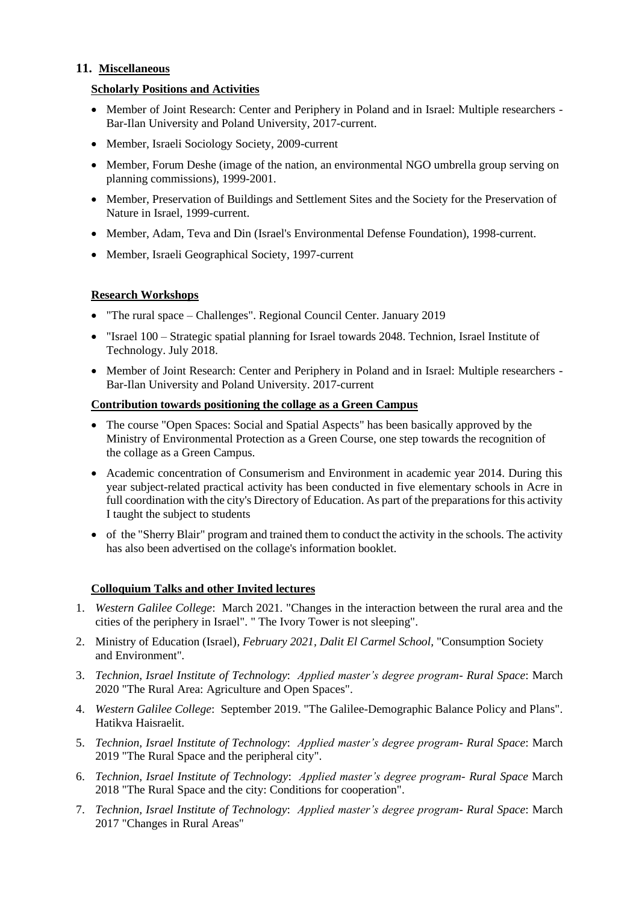## **11. Miscellaneous**

# **Scholarly Positions and Activities**

- Member of Joint Research: Center and Periphery in Poland and in Israel: Multiple researchers Bar-Ilan University and Poland University, 2017-current.
- Member, Israeli Sociology Society, 2009-current
- Member, Forum Deshe (image of the nation, an environmental NGO umbrella group serving on planning commissions), 1999-2001.
- Member, Preservation of Buildings and Settlement Sites and the Society for the Preservation of Nature in Israel, 1999-current.
- Member, Adam, Teva and Din (Israel's Environmental Defense Foundation), 1998-current.
- Member, Israeli Geographical Society, 1997-current

### **Research Workshops**

- "The rural space Challenges". Regional Council Center. January 2019
- "Israel 100 Strategic spatial planning for Israel towards 2048. Technion, Israel Institute of Technology. July 2018.
- Member of Joint Research: Center and Periphery in Poland and in Israel: Multiple researchers Bar-Ilan University and Poland University. 2017-current

#### **Contribution towards positioning the collage as a Green Campus**

- The course "Open Spaces: Social and Spatial Aspects" has been basically approved by the Ministry of Environmental Protection as a Green Course, one step towards the recognition of the collage as a Green Campus.
- Academic concentration of Consumerism and Environment in academic year 2014. During this year subject-related practical activity has been conducted in five elementary schools in Acre in full coordination with the city's Directory of Education. As part of the preparations for this activity I taught the subject to students
- of the "Sherry Blair" program and trained them to conduct the activity in the schools. The activity has also been advertised on the collage's information booklet.

# **Colloquium Talks and other Invited lectures**

- 1. *Western Galilee College*: March 2021. "Changes in the interaction between the rural area and the cities of the periphery in Israel". " The Ivory Tower is not sleeping".
- 2. Ministry of Education (Israel)*, February 2021, Dalit El Carmel School,* "Consumption Society and Environment"*.*
- 3. *Technion, Israel Institute of Technology*: *Applied master's degree program- Rural Space*: March 2020 "The Rural Area: Agriculture and Open Spaces".
- 4. *Western Galilee College*: September 2019. "The Galilee-Demographic Balance Policy and Plans". Hatikva Haisraelit.
- 5. *Technion, Israel Institute of Technology*: *Applied master's degree program- Rural Space*: March 2019 "The Rural Space and the peripheral city".
- 6. *Technion, Israel Institute of Technology*: *Applied master's degree program- Rural Space* March 2018 "The Rural Space and the city: Conditions for cooperation".
- 7. *Technion, Israel Institute of Technology*: *Applied master's degree program- Rural Space*: March 2017 "Changes in Rural Areas"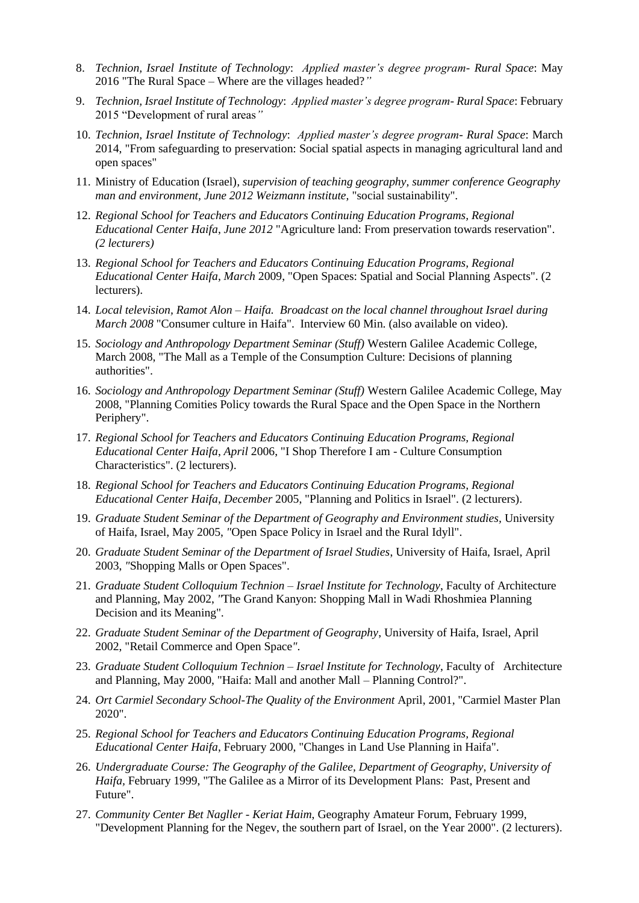- 8. *Technion, Israel Institute of Technology*: *Applied master's degree program- Rural Space*: May 2016 "The Rural Space – Where are the villages headed?*"*
- 9. *Technion, Israel Institute of Technology*: *Applied master's degree program- Rural Space*: February 2015 "Development of rural areas*"*
- 10. *Technion, Israel Institute of Technology*: *Applied master's degree program- Rural Space*: March 2014, "From safeguarding to preservation: Social spatial aspects in managing agricultural land and open spaces"
- 11. Ministry of Education (Israel)*, supervision of teaching geography, summer conference Geography man and environment, June 2012 Weizmann institute,* "social sustainability"*.*
- 12. *Regional School for Teachers and Educators Continuing Education Programs, Regional Educational Center Haifa*, *June 2012* "Agriculture land: From preservation towards reservation". *(2 lecturers)*
- 13. *Regional School for Teachers and Educators Continuing Education Programs, Regional Educational Center Haifa*, *March* 2009, "Open Spaces: Spatial and Social Planning Aspects". (2 lecturers).
- 14. *Local television, Ramot Alon – Haifa. Broadcast on the local channel throughout Israel during March 2008* "Consumer culture in Haifa". Interview 60 Min. (also available on video).
- 15. *Sociology and Anthropology Department Seminar (Stuff)* Western Galilee Academic College, March 2008, "The Mall as a Temple of the Consumption Culture: Decisions of planning authorities".
- 16. *Sociology and Anthropology Department Seminar (Stuff)* Western Galilee Academic College, May 2008, "Planning Comities Policy towards the Rural Space and the Open Space in the Northern Periphery".
- 17. *Regional School for Teachers and Educators Continuing Education Programs, Regional Educational Center Haifa*, *April* 2006, "I Shop Therefore I am - Culture Consumption Characteristics". (2 lecturers).
- 18. *Regional School for Teachers and Educators Continuing Education Programs, Regional Educational Center Haifa*, *December* 2005, "Planning and Politics in Israel". (2 lecturers).
- 19. *Graduate Student Seminar of the Department of Geography and Environment studies,* University of Haifa, Israel, May 2005, *"*Open Space Policy in Israel and the Rural Idyll".
- 20. *Graduate Student Seminar of the Department of Israel Studies*, University of Haifa, Israel, April 2003, *"*Shopping Malls or Open Spaces".
- 21. *Graduate Student Colloquium Technion – Israel Institute for Technology*, Faculty of Architecture and Planning, May 2002, *"*The Grand Kanyon: Shopping Mall in Wadi Rhoshmiea Planning Decision and its Meaning"*.*
- 22. *Graduate Student Seminar of the Department of Geography*, University of Haifa, Israel, April 2002, "Retail Commerce and Open Space*"*.
- 23. *Graduate Student Colloquium Technion – Israel Institute for Technology*, Faculty of Architecture and Planning, May 2000, "Haifa: Mall and another Mall – Planning Control?".
- 24. *Ort Carmiel Secondary School-The Quality of the Environment* April, 2001, "Carmiel Master Plan 2020".
- 25. *Regional School for Teachers and Educators Continuing Education Programs, Regional Educational Center Haifa*, February 2000, "Changes in Land Use Planning in Haifa".
- 26. *Undergraduate Course: The Geography of the Galilee, Department of Geography, University of Haifa,* February 1999, "The Galilee as a Mirror of its Development Plans: Past, Present and Future".
- 27. *Community Center Bet Nagller - Keriat Haim*, Geography Amateur Forum, February 1999, "Development Planning for the Negev, the southern part of Israel, on the Year 2000". (2 lecturers).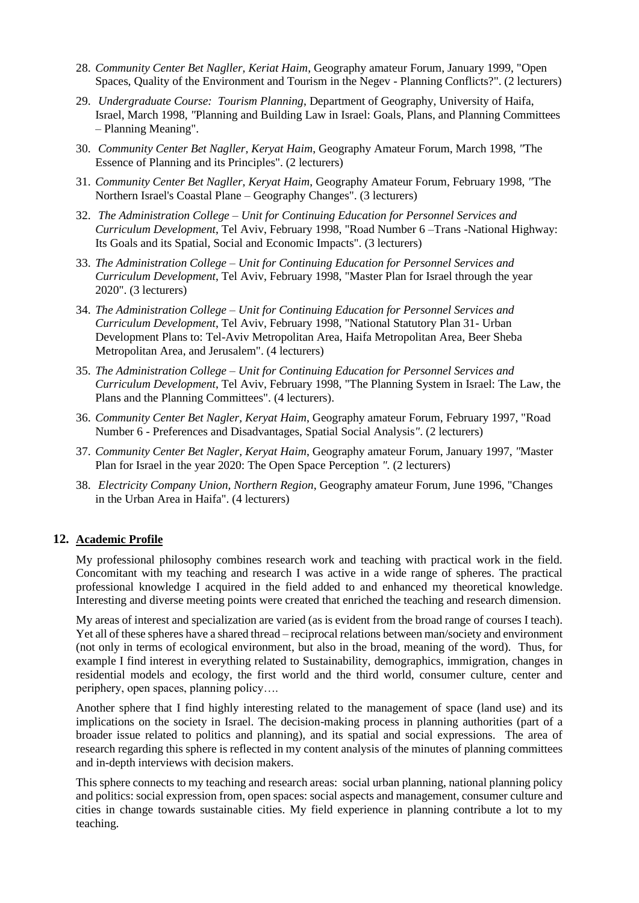- 28. *Community Center Bet Nagller, Keriat Haim*, Geography amateur Forum, January 1999, "Open Spaces, Quality of the Environment and Tourism in the Negev - Planning Conflicts?". (2 lecturers)
- 29. *Undergraduate Course: Tourism Planning*, Department of Geography, University of Haifa, Israel, March 1998, *"*Planning and Building Law in Israel: Goals, Plans, and Planning Committees – Planning Meaning".
- 30. *Community Center Bet Nagller, Keryat Haim*, Geography Amateur Forum, March 1998, *"*The Essence of Planning and its Principles". (2 lecturers)
- 31. *Community Center Bet Nagller, Keryat Haim*, Geography Amateur Forum, February 1998, *"*The Northern Israel's Coastal Plane – Geography Changes". (3 lecturers)
- 32. *The Administration College – Unit for Continuing Education for Personnel Services and Curriculum Development*, Tel Aviv, February 1998, "Road Number 6 –Trans -National Highway: Its Goals and its Spatial, Social and Economic Impacts". (3 lecturers)
- 33. *The Administration College – Unit for Continuing Education for Personnel Services and Curriculum Development*, Tel Aviv, February 1998, "Master Plan for Israel through the year 2020". (3 lecturers)
- 34. *The Administration College – Unit for Continuing Education for Personnel Services and Curriculum Development*, Tel Aviv, February 1998, "National Statutory Plan 31- Urban Development Plans to: Tel-Aviv Metropolitan Area, Haifa Metropolitan Area, Beer Sheba Metropolitan Area, and Jerusalem". (4 lecturers)
- 35. *The Administration College – Unit for Continuing Education for Personnel Services and Curriculum Development*, Tel Aviv, February 1998, "The Planning System in Israel: The Law, the Plans and the Planning Committees". (4 lecturers).
- 36. *Community Center Bet Nagler, Keryat Haim*, Geography amateur Forum, February 1997, "Road Number 6 - Preferences and Disadvantages, Spatial Social Analysis*"*. (2 lecturers)
- 37. *Community Center Bet Nagler, Keryat Haim*, Geography amateur Forum, January 1997, *"*Master Plan for Israel in the year 2020: The Open Space Perception *".* (2 lecturers)
- 38. *Electricity Company Union, Northern Region*, Geography amateur Forum, June 1996, "Changes in the Urban Area in Haifa". (4 lecturers)

#### **12. Academic Profile**

My professional philosophy combines research work and teaching with practical work in the field. Concomitant with my teaching and research I was active in a wide range of spheres. The practical professional knowledge I acquired in the field added to and enhanced my theoretical knowledge. Interesting and diverse meeting points were created that enriched the teaching and research dimension.

My areas of interest and specialization are varied (as is evident from the broad range of courses I teach). Yet all of these spheres have a shared thread – reciprocal relations between man/society and environment (not only in terms of ecological environment, but also in the broad, meaning of the word). Thus, for example I find interest in everything related to Sustainability, demographics, immigration, changes in residential models and ecology, the first world and the third world, consumer culture, center and periphery, open spaces, planning policy….

Another sphere that I find highly interesting related to the management of space (land use) and its implications on the society in Israel. The decision-making process in planning authorities (part of a broader issue related to politics and planning), and its spatial and social expressions. The area of research regarding this sphere is reflected in my content analysis of the minutes of planning committees and in-depth interviews with decision makers.

This sphere connects to my teaching and research areas: social urban planning, national planning policy and politics: social expression from, open spaces: social aspects and management, consumer culture and cities in change towards sustainable cities. My field experience in planning contribute a lot to my teaching.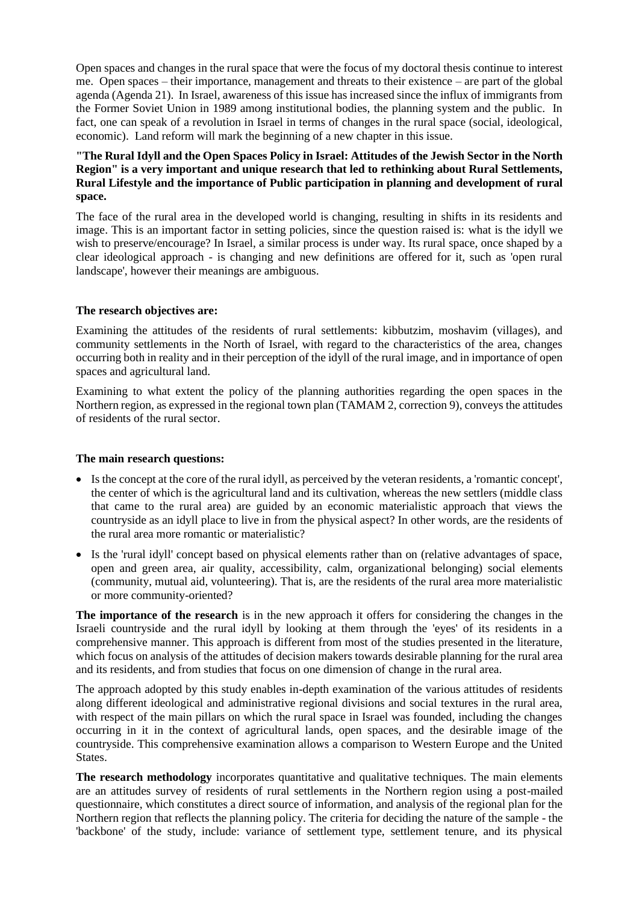Open spaces and changes in the rural space that were the focus of my doctoral thesis continue to interest me. Open spaces – their importance, management and threats to their existence – are part of the global agenda (Agenda 21). In Israel, awareness of this issue has increased since the influx of immigrants from the Former Soviet Union in 1989 among institutional bodies, the planning system and the public. In fact, one can speak of a revolution in Israel in terms of changes in the rural space (social, ideological, economic). Land reform will mark the beginning of a new chapter in this issue.

#### **"The Rural Idyll and the Open Spaces Policy in Israel: Attitudes of the Jewish Sector in the North Region" is a very important and unique research that led to rethinking about Rural Settlements, Rural Lifestyle and the importance of Public participation in planning and development of rural space.**

The face of the rural area in the developed world is changing, resulting in shifts in its residents and image. This is an important factor in setting policies, since the question raised is: what is the idyll we wish to preserve/encourage? In Israel, a similar process is under way. Its rural space, once shaped by a clear ideological approach - is changing and new definitions are offered for it, such as 'open rural landscape', however their meanings are ambiguous.

### **The research objectives are:**

Examining the attitudes of the residents of rural settlements: kibbutzim, moshavim (villages), and community settlements in the North of Israel, with regard to the characteristics of the area, changes occurring both in reality and in their perception of the idyll of the rural image, and in importance of open spaces and agricultural land.

Examining to what extent the policy of the planning authorities regarding the open spaces in the Northern region, as expressed in the regional town plan (TAMAM 2, correction 9), conveys the attitudes of residents of the rural sector.

#### **The main research questions:**

- Is the concept at the core of the rural idyll, as perceived by the veteran residents, a 'romantic concept', the center of which is the agricultural land and its cultivation, whereas the new settlers (middle class that came to the rural area) are guided by an economic materialistic approach that views the countryside as an idyll place to live in from the physical aspect? In other words, are the residents of the rural area more romantic or materialistic?
- Is the 'rural idyll' concept based on physical elements rather than on (relative advantages of space, open and green area, air quality, accessibility, calm, organizational belonging) social elements (community, mutual aid, volunteering). That is, are the residents of the rural area more materialistic or more community-oriented?

**The importance of the research** is in the new approach it offers for considering the changes in the Israeli countryside and the rural idyll by looking at them through the 'eyes' of its residents in a comprehensive manner. This approach is different from most of the studies presented in the literature, which focus on analysis of the attitudes of decision makers towards desirable planning for the rural area and its residents, and from studies that focus on one dimension of change in the rural area.

The approach adopted by this study enables in-depth examination of the various attitudes of residents along different ideological and administrative regional divisions and social textures in the rural area, with respect of the main pillars on which the rural space in Israel was founded, including the changes occurring in it in the context of agricultural lands, open spaces, and the desirable image of the countryside. This comprehensive examination allows a comparison to Western Europe and the United States.

The research methodology incorporates quantitative and qualitative techniques. The main elements are an attitudes survey of residents of rural settlements in the Northern region using a post-mailed questionnaire, which constitutes a direct source of information, and analysis of the regional plan for the Northern region that reflects the planning policy. The criteria for deciding the nature of the sample - the 'backbone' of the study, include: variance of settlement type, settlement tenure, and its physical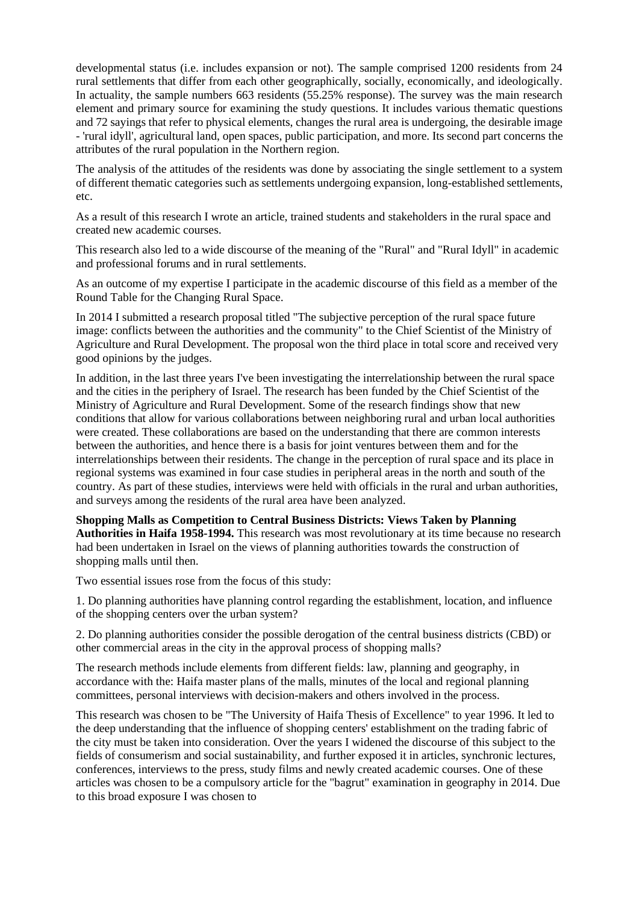developmental status (i.e. includes expansion or not). The sample comprised 1200 residents from 24 rural settlements that differ from each other geographically, socially, economically, and ideologically. In actuality, the sample numbers 663 residents (55.25% response). The survey was the main research element and primary source for examining the study questions. It includes various thematic questions and 72 sayings that refer to physical elements, changes the rural area is undergoing, the desirable image - 'rural idyll', agricultural land, open spaces, public participation, and more. Its second part concerns the attributes of the rural population in the Northern region.

The analysis of the attitudes of the residents was done by associating the single settlement to a system of different thematic categories such as settlements undergoing expansion, long-established settlements, etc.

As a result of this research I wrote an article, trained students and stakeholders in the rural space and created new academic courses.

This research also led to a wide discourse of the meaning of the "Rural" and "Rural Idyll" in academic and professional forums and in rural settlements.

As an outcome of my expertise I participate in the academic discourse of this field as a member of the Round Table for the Changing Rural Space.

In 2014 I submitted a research proposal titled "The subjective perception of the rural space future image: conflicts between the authorities and the community" to the Chief Scientist of the Ministry of Agriculture and Rural Development. The proposal won the third place in total score and received very good opinions by the judges.

In addition, in the last three years I've been investigating the interrelationship between the rural space and the cities in the periphery of Israel. The research has been funded by the Chief Scientist of the Ministry of Agriculture and Rural Development. Some of the research findings show that new conditions that allow for various collaborations between neighboring rural and urban local authorities were created. These collaborations are based on the understanding that there are common interests between the authorities, and hence there is a basis for joint ventures between them and for the interrelationships between their residents. The change in the perception of rural space and its place in regional systems was examined in four case studies in peripheral areas in the north and south of the country. As part of these studies, interviews were held with officials in the rural and urban authorities, and surveys among the residents of the rural area have been analyzed.

**Shopping Malls as Competition to Central Business Districts: Views Taken by Planning Authorities in Haifa 1958-1994.** This research was most revolutionary at its time because no research had been undertaken in Israel on the views of planning authorities towards the construction of shopping malls until then.

Two essential issues rose from the focus of this study:

1. Do planning authorities have planning control regarding the establishment, location, and influence of the shopping centers over the urban system?

2. Do planning authorities consider the possible derogation of the central business districts (CBD) or other commercial areas in the city in the approval process of shopping malls?

The research methods include elements from different fields: law, planning and geography, in accordance with the: Haifa master plans of the malls, minutes of the local and regional planning committees, personal interviews with decision-makers and others involved in the process.

This research was chosen to be "The University of Haifa Thesis of Excellence" to year 1996. It led to the deep understanding that the influence of shopping centers' establishment on the trading fabric of the city must be taken into consideration. Over the years I widened the discourse of this subject to the fields of consumerism and social sustainability, and further exposed it in articles, synchronic lectures, conferences, interviews to the press, study films and newly created academic courses. One of these articles was chosen to be a compulsory article for the "bagrut" examination in geography in 2014. Due to this broad exposure I was chosen to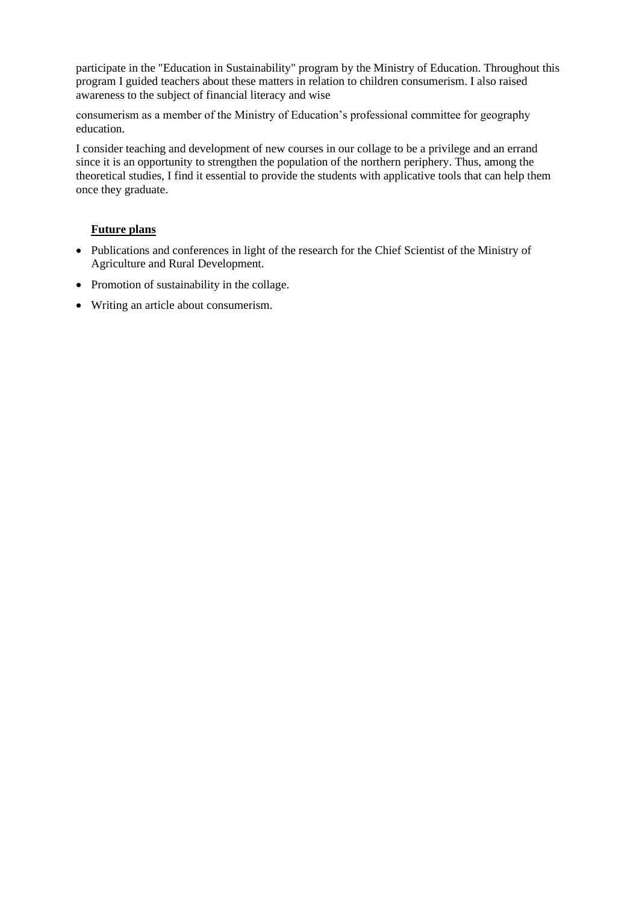participate in the "Education in Sustainability" program by the Ministry of Education. Throughout this program I guided teachers about these matters in relation to children consumerism. I also raised awareness to the subject of financial literacy and wise

consumerism as a member of the Ministry of Education's professional committee for geography education.

I consider teaching and development of new courses in our collage to be a privilege and an errand since it is an opportunity to strengthen the population of the northern periphery. Thus, among the theoretical studies, I find it essential to provide the students with applicative tools that can help them once they graduate.

# **Future plans**

- Publications and conferences in light of the research for the Chief Scientist of the Ministry of Agriculture and Rural Development.
- Promotion of sustainability in the collage.
- Writing an article about consumerism.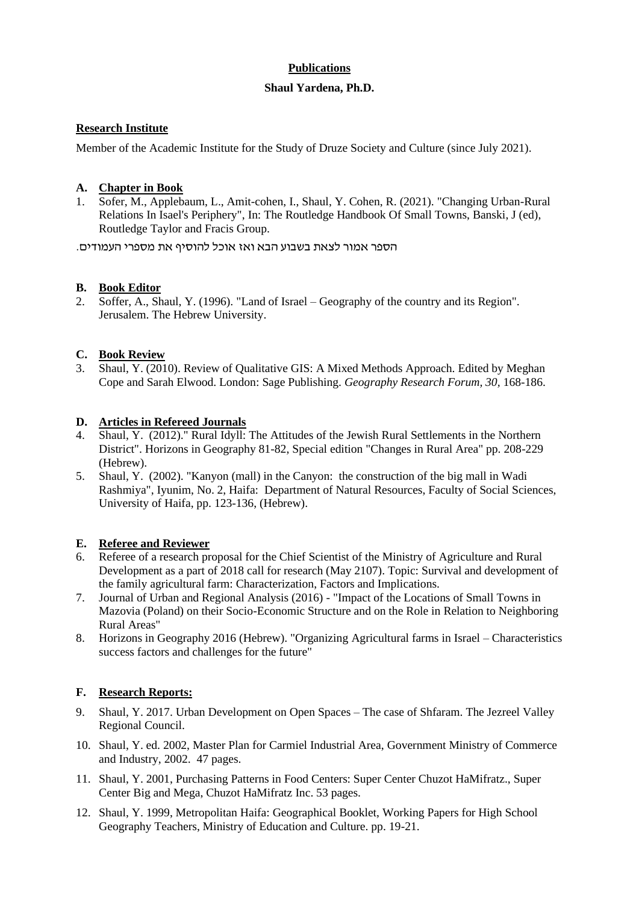# **Publications**

## **Shaul Yardena, Ph.D.**

## **Research Institute**

Member of the Academic Institute for the Study of Druze Society and Culture (since July 2021).

## **A. Chapter in Book**

1. Sofer, M., Applebaum, L., Amit-cohen, I., Shaul, Y. Cohen, R. (2021). "Changing Urban-Rural Relations In Isael's Periphery", In: The Routledge Handbook Of Small Towns, Banski, J (ed), Routledge Taylor and Fracis Group.

הספר אמור לצאת בשבוע הבא ואז אוכל להוסיף את מספרי העמודים.

### **B. Book Editor**

2. Soffer, A., Shaul, Y. (1996). "Land of Israel – Geography of the country and its Region". Jerusalem. The Hebrew University.

### **C. Book Review**

3. Shaul, Y. (2010). Review of Qualitative GIS: A Mixed Methods Approach. Edited by Meghan Cope and Sarah Elwood. London: Sage Publishing. *Geography Research Forum, 30,* 168-186.

### **D. Articles in Refereed Journals**

- 4. Shaul, Y. (2012)." Rural Idyll: The Attitudes of the Jewish Rural Settlements in the Northern District". Horizons in Geography 81-82, Special edition "Changes in Rural Area" pp. 208-229 (Hebrew).
- 5. Shaul, Y. (2002). "Kanyon (mall) in the Canyon: the construction of the big mall in Wadi Rashmiya", Iyunim, No. 2, Haifa: Department of Natural Resources, Faculty of Social Sciences, University of Haifa, pp. 123-136, (Hebrew).

# **E. Referee and Reviewer**

- 6. Referee of a research proposal for the Chief Scientist of the Ministry of Agriculture and Rural Development as a part of 2018 call for research (May 2107). Topic: Survival and development of the family agricultural farm: Characterization, Factors and Implications.
- 7. Journal of Urban and Regional Analysis (2016) "Impact of the Locations of Small Towns in Mazovia (Poland) on their Socio-Economic Structure and on the Role in Relation to Neighboring Rural Areas"
- 8. Horizons in Geography 2016 (Hebrew). "Organizing Agricultural farms in Israel Characteristics success factors and challenges for the future"

# **F. Research Reports:**

- 9. Shaul, Y. 2017. Urban Development on Open Spaces The case of Shfaram. The Jezreel Valley Regional Council.
- 10. Shaul, Y. ed. 2002, Master Plan for Carmiel Industrial Area, Government Ministry of Commerce and Industry, 2002. 47 pages.
- 11. Shaul, Y. 2001, Purchasing Patterns in Food Centers: Super Center Chuzot HaMifratz., Super Center Big and Mega, Chuzot HaMifratz Inc. 53 pages.
- 12. Shaul, Y. 1999, Metropolitan Haifa: Geographical Booklet, Working Papers for High School Geography Teachers, Ministry of Education and Culture. pp. 19-21.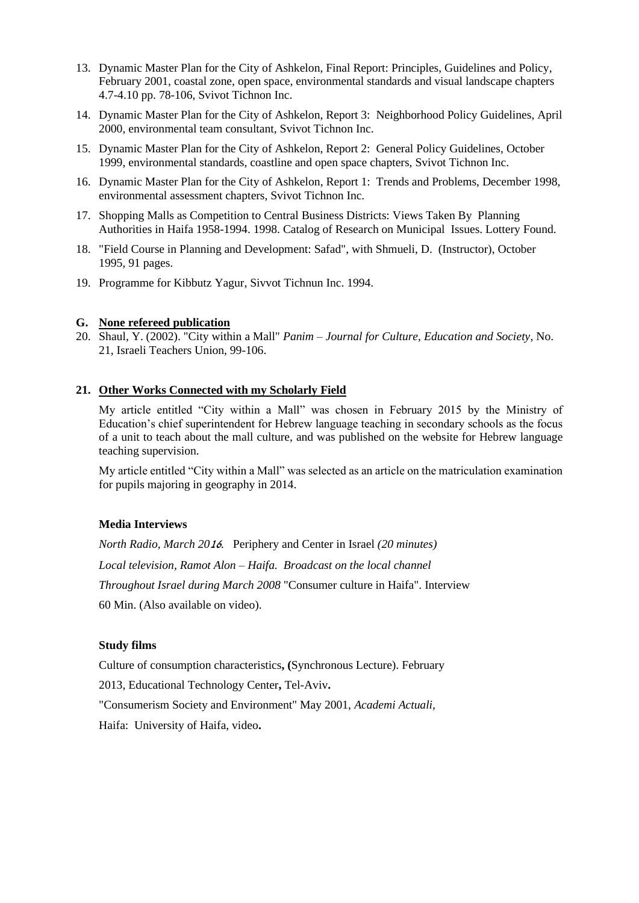- 13. Dynamic Master Plan for the City of Ashkelon, Final Report: Principles, Guidelines and Policy, February 2001, coastal zone, open space, environmental standards and visual landscape chapters 4.7-4.10 pp. 78-106, Svivot Tichnon Inc.
- 14. Dynamic Master Plan for the City of Ashkelon, Report 3: Neighborhood Policy Guidelines, April 2000, environmental team consultant, Svivot Tichnon Inc.
- 15. Dynamic Master Plan for the City of Ashkelon, Report 2: General Policy Guidelines, October 1999, environmental standards, coastline and open space chapters, Svivot Tichnon Inc.
- 16. Dynamic Master Plan for the City of Ashkelon, Report 1: Trends and Problems, December 1998, environmental assessment chapters, Svivot Tichnon Inc.
- 17. Shopping Malls as Competition to Central Business Districts: Views Taken By Planning Authorities in Haifa 1958-1994. 1998. Catalog of Research on Municipal Issues. Lottery Found.
- 18. "Field Course in Planning and Development: Safad", with Shmueli, D. (Instructor), October 1995, 91 pages.
- 19. Programme for Kibbutz Yagur, Sivvot Tichnun Inc. 1994.

#### **G. None refereed publication**

20. Shaul, Y. (2002). "City within a Mall" *Panim – Journal for Culture, Education and Society*, No. 21, Israeli Teachers Union, 99-106.

#### **21. Other Works Connected with my Scholarly Field**

My article entitled "City within a Mall" was chosen in February 2015 by the Ministry of Education's chief superintendent for Hebrew language teaching in secondary schools as the focus of a unit to teach about the mall culture, and was published on the website for Hebrew language teaching supervision.

My article entitled "City within a Mall" was selected as an article on the matriculation examination for pupils majoring in geography in 2014.

#### **Media Interviews**

*North Radio, March 20*16*.* Periphery and Center in Israel *(20 minutes) Local television, Ramot Alon – Haifa. Broadcast on the local channel Throughout Israel during March 2008* "Consumer culture in Haifa". Interview 60 Min. (Also available on video).

#### **Study films**

Culture of consumption characteristics**, (**Synchronous Lecture). February

2013, Educational Technology Center**,** Tel-Aviv**.**

"Consumerism Society and Environment" May 2001, *Academi Actuali,*

Haifa: University of Haifa, video**.**